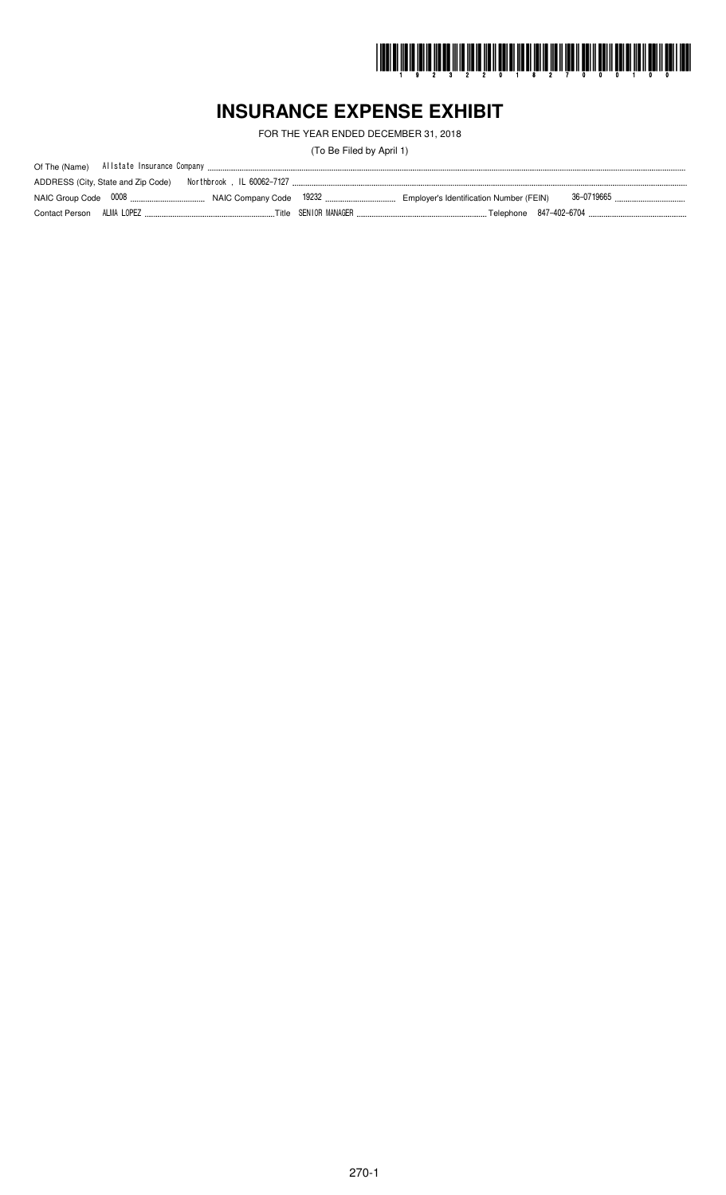

# **INSURANCE EXPENSE EXHIBIT**

FOR THE YEAR ENDED DECEMBER 31, 2018

(To Be Filed by April 1)

|                           | ADDRESS (City, State and Zip Code) | . Northbrook , IL 60062-7127 |  |  |
|---------------------------|------------------------------------|------------------------------|--|--|
|                           |                                    |                              |  |  |
| Contact Person ALMA LOPEZ |                                    |                              |  |  |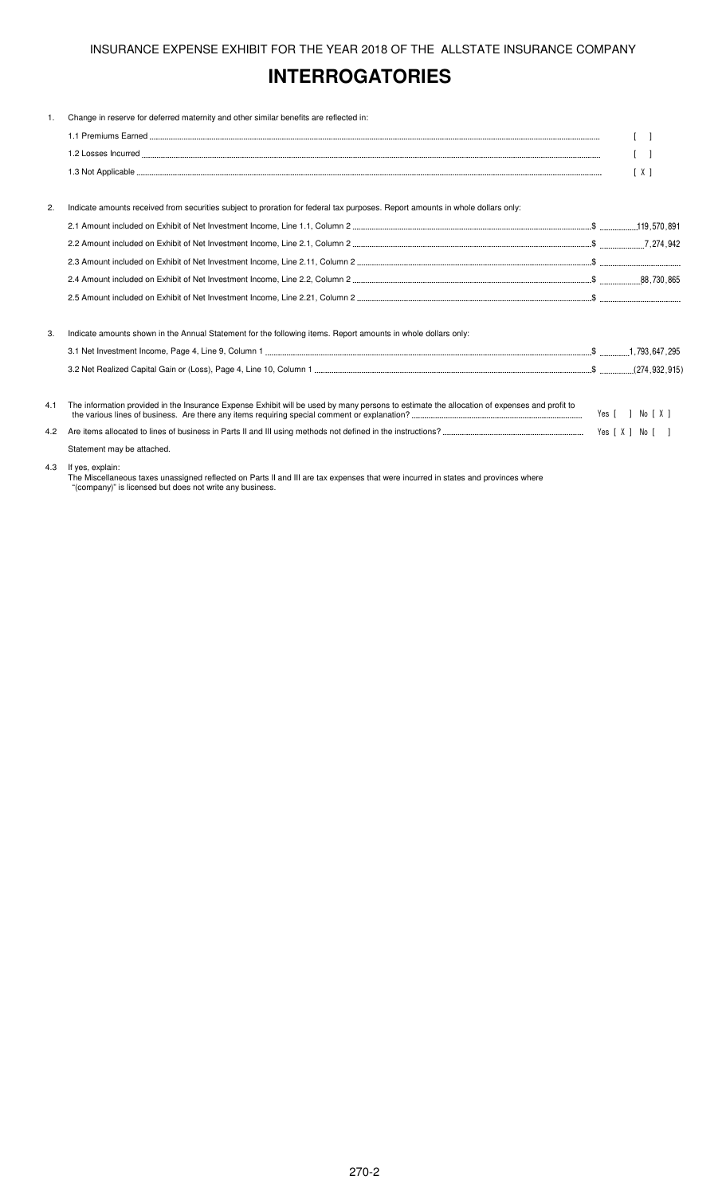# **INTERROGATORIES**

| 1.  | Change in reserve for deferred maternity and other similar benefits are reflected in:                                                       |                   |
|-----|---------------------------------------------------------------------------------------------------------------------------------------------|-------------------|
|     |                                                                                                                                             |                   |
|     |                                                                                                                                             | $\lceil$ $\rceil$ |
|     |                                                                                                                                             | $\lceil X \rceil$ |
| 2.  | Indicate amounts received from securities subject to proration for federal tax purposes. Report amounts in whole dollars only:              |                   |
|     |                                                                                                                                             |                   |
|     |                                                                                                                                             |                   |
|     |                                                                                                                                             |                   |
|     |                                                                                                                                             |                   |
|     |                                                                                                                                             |                   |
| 3.  | Indicate amounts shown in the Annual Statement for the following items. Report amounts in whole dollars only:                               |                   |
|     |                                                                                                                                             |                   |
|     |                                                                                                                                             |                   |
| 4.1 | The information provided in the Insurance Expense Exhibit will be used by many persons to estimate the allocation of expenses and profit to | Yes [ ] No [ X ]  |
| 4.2 |                                                                                                                                             |                   |
|     | Statement may be attached.                                                                                                                  |                   |
| 4.3 | If yes, explain:                                                                                                                            |                   |

The Miscellaneous taxes unassigned reflected on Parts II and III are tax expenses that were incurred in states and provinces where "(company)" is licensed but does not write any business.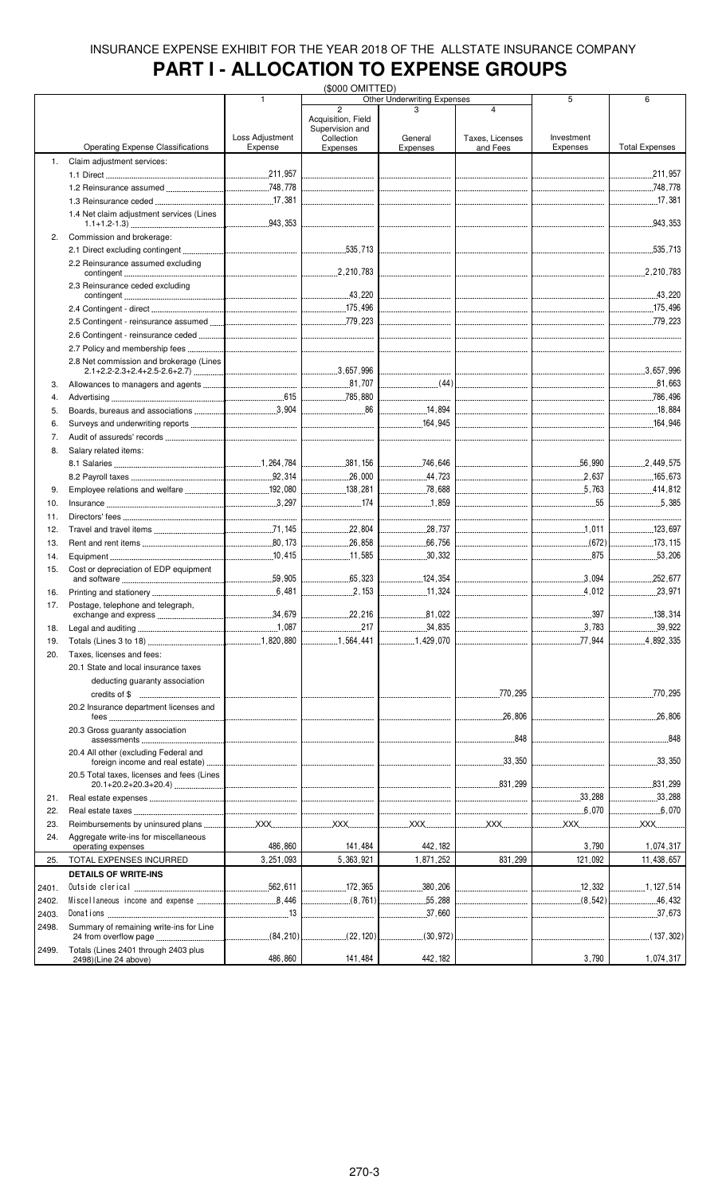# **PART I - ALLOCATION TO EXPENSE GROUPS**

|       |                                                            | (\$000 OMITTED) |                                    |                                       |                                                                                                                 |                                  |                       |
|-------|------------------------------------------------------------|-----------------|------------------------------------|---------------------------------------|-----------------------------------------------------------------------------------------------------------------|----------------------------------|-----------------------|
|       |                                                            | 1               | $\overline{2}$                     | Other Underwriting Expenses           | $\overline{\mathbf{4}}$                                                                                         | 5                                | 6                     |
|       |                                                            |                 | Acquisition, Field                 |                                       |                                                                                                                 |                                  |                       |
|       |                                                            |                 | Supervision and                    |                                       |                                                                                                                 |                                  |                       |
|       |                                                            | Loss Adjustment | Collection                         | General                               | Taxes, Licenses                                                                                                 | Investment                       |                       |
|       | <b>Operating Expense Classifications</b>                   | Expense         | Expenses                           | Expenses                              | and Fees                                                                                                        | Expenses                         | <b>Total Expenses</b> |
| 1.    | Claim adjustment services:                                 |                 |                                    |                                       |                                                                                                                 |                                  |                       |
|       |                                                            |                 |                                    |                                       |                                                                                                                 |                                  | 211.957               |
|       |                                                            |                 |                                    |                                       |                                                                                                                 |                                  |                       |
|       |                                                            |                 |                                    |                                       |                                                                                                                 |                                  |                       |
|       | 1.4 Net claim adjustment services (Lines                   |                 |                                    |                                       |                                                                                                                 |                                  |                       |
|       |                                                            |                 |                                    |                                       |                                                                                                                 |                                  | 943, 353              |
| 2.    | Commission and brokerage:                                  |                 |                                    |                                       |                                                                                                                 |                                  |                       |
|       |                                                            |                 |                                    |                                       |                                                                                                                 |                                  |                       |
|       |                                                            |                 |                                    |                                       |                                                                                                                 |                                  |                       |
|       | 2.2 Reinsurance assumed excluding                          |                 |                                    |                                       |                                                                                                                 |                                  |                       |
|       |                                                            |                 |                                    |                                       |                                                                                                                 |                                  |                       |
|       | 2.3 Reinsurance ceded excluding                            |                 |                                    |                                       |                                                                                                                 |                                  |                       |
|       |                                                            |                 |                                    |                                       |                                                                                                                 |                                  |                       |
|       |                                                            |                 |                                    |                                       |                                                                                                                 |                                  |                       |
|       |                                                            |                 |                                    |                                       |                                                                                                                 |                                  |                       |
|       |                                                            |                 |                                    |                                       | ---------------------------------                                                                               |                                  |                       |
|       |                                                            |                 |                                    |                                       |                                                                                                                 | -------------------------------- |                       |
|       | 2.8 Net commission and brokerage (Lines                    |                 |                                    |                                       |                                                                                                                 |                                  |                       |
|       |                                                            |                 |                                    |                                       |                                                                                                                 |                                  |                       |
| 3.    |                                                            |                 |                                    |                                       |                                                                                                                 |                                  |                       |
| 4.    |                                                            |                 |                                    |                                       |                                                                                                                 |                                  |                       |
|       |                                                            |                 |                                    |                                       |                                                                                                                 |                                  |                       |
| 5.    |                                                            |                 |                                    | 14,894                                |                                                                                                                 |                                  | 18,884                |
| 6.    |                                                            |                 |                                    | $\frac{1}{2}$ 164,945                 |                                                                                                                 |                                  |                       |
| 7.    |                                                            |                 |                                    |                                       |                                                                                                                 |                                  |                       |
| 8.    | Salary related items:                                      |                 |                                    |                                       |                                                                                                                 |                                  |                       |
|       |                                                            |                 |                                    |                                       |                                                                                                                 |                                  | 2,449,575             |
|       |                                                            |                 |                                    | 44,723                                |                                                                                                                 |                                  | 165,673               |
|       |                                                            |                 | <u> </u><br>  138.281              |                                       |                                                                                                                 |                                  | 414,812               |
| 9.    |                                                            |                 |                                    |                                       |                                                                                                                 |                                  |                       |
| 10.   |                                                            |                 |                                    |                                       |                                                                                                                 | 55                               |                       |
| 11.   |                                                            |                 |                                    |                                       |                                                                                                                 |                                  |                       |
| 12.   |                                                            |                 | $\frac{1}{22,804}$                 |                                       |                                                                                                                 |                                  | 123,697               |
| 13.   |                                                            |                 |                                    |                                       |                                                                                                                 |                                  | 173.115               |
| 14.   |                                                            |                 | 11,585<br>.                        | .30,332<br>.                          |                                                                                                                 | 875                              | .53,206               |
|       |                                                            |                 |                                    |                                       |                                                                                                                 |                                  |                       |
| 15.   | Cost or depreciation of EDP equipment                      |                 | $\frac{1}{65,323}$                 | 124,354                               |                                                                                                                 |                                  | .252,677<br>.         |
|       |                                                            |                 |                                    | 11,324                                |                                                                                                                 | 4.012<br>.                       | .23,971<br>.          |
| 16.   |                                                            |                 |                                    |                                       |                                                                                                                 |                                  |                       |
| 17.   | Postage, telephone and telegraph,<br>exchange and express. | .34,679         | 22,216                             | .81,022                               |                                                                                                                 | .397                             | .138,314              |
|       |                                                            |                 |                                    | .                                     |                                                                                                                 |                                  |                       |
| 18.   |                                                            |                 | .217                               | .34,835                               |                                                                                                                 |                                  | .39,922               |
| 19.   |                                                            |                 | 1,564,441                          | 1,429,070                             |                                                                                                                 | .77,944<br>.                     | 4,892,335             |
| 20.   | Taxes, licenses and fees:                                  |                 |                                    |                                       |                                                                                                                 |                                  |                       |
|       | 20.1 State and local insurance taxes                       |                 |                                    |                                       |                                                                                                                 |                                  |                       |
|       | deducting guaranty association                             |                 |                                    |                                       |                                                                                                                 |                                  |                       |
|       |                                                            |                 |                                    |                                       | 770,295                                                                                                         |                                  | 770,295               |
|       |                                                            |                 |                                    |                                       |                                                                                                                 |                                  |                       |
|       | 20.2 Insurance department licenses and                     |                 |                                    |                                       | .26,806<br>.                                                                                                    | ______________________________   | .26,806               |
|       | 20.3 Gross quaranty association                            |                 |                                    |                                       |                                                                                                                 |                                  |                       |
|       |                                                            |                 |                                    | --------------------------------      | 848                                                                                                             |                                  | 848                   |
|       | 20.4 All other (excluding Federal and                      |                 |                                    |                                       |                                                                                                                 |                                  |                       |
|       |                                                            |                 |                                    | <br> -------------------------------- | $\left[\ldots\right]$ 33,350                                                                                    |                                  | 33,350<br>.           |
|       | 20.5 Total taxes, licenses and fees (Lines                 |                 |                                    |                                       |                                                                                                                 |                                  |                       |
|       |                                                            |                 |                                    |                                       |                                                                                                                 |                                  | .831,299<br>.         |
| 21.   |                                                            |                 |                                    |                                       |                                                                                                                 | 33,288                           | 33,288                |
| 22.   |                                                            |                 |                                    |                                       |                                                                                                                 | 6.070                            | .6,070                |
|       |                                                            |                 |                                    |                                       |                                                                                                                 |                                  |                       |
| 23.   |                                                            |                 |                                    |                                       |                                                                                                                 |                                  | XX                    |
| 24.   | Aggregate write-ins for miscellaneous                      |                 |                                    |                                       |                                                                                                                 |                                  |                       |
|       | operating expenses                                         | 486,860         | 141,484                            | 442, 182                              |                                                                                                                 | 3,790                            | 1,074,317             |
| 25.   | TOTAL EXPENSES INCURRED                                    | 3,251,093       | 5,363,921                          | 1,871,252                             | 831,299                                                                                                         | 121,092                          | 11,438,657            |
|       | <b>DETAILS OF WRITE-INS</b>                                |                 |                                    |                                       |                                                                                                                 |                                  |                       |
| 2401. |                                                            |                 | 172,365                            | .380, 206<br>.                        |                                                                                                                 | 12 . 332                         | 1.127.514             |
| 2402. |                                                            |                 | (8.761)                            | 55,288                                | and a complete the complete of the second service of the service of the service of the service of the service o |                                  |                       |
| 2403. |                                                            |                 | __________________________________ | 37,660                                |                                                                                                                 |                                  |                       |
|       |                                                            |                 |                                    |                                       |                                                                                                                 |                                  |                       |
| 2498. | Summary of remaining write-ins for Line                    |                 |                                    | $\hspace{1.5cm} (30,972)$             |                                                                                                                 |                                  | $\ldots$ (137,302)    |
| 2499. | Totals (Lines 2401 through 2403 plus                       |                 |                                    |                                       |                                                                                                                 |                                  |                       |
|       | 2498)(Line 24 above)                                       | 486,860         | 141,484                            | 442, 182                              |                                                                                                                 | 3,790                            | 1,074,317             |
|       |                                                            |                 |                                    |                                       |                                                                                                                 |                                  |                       |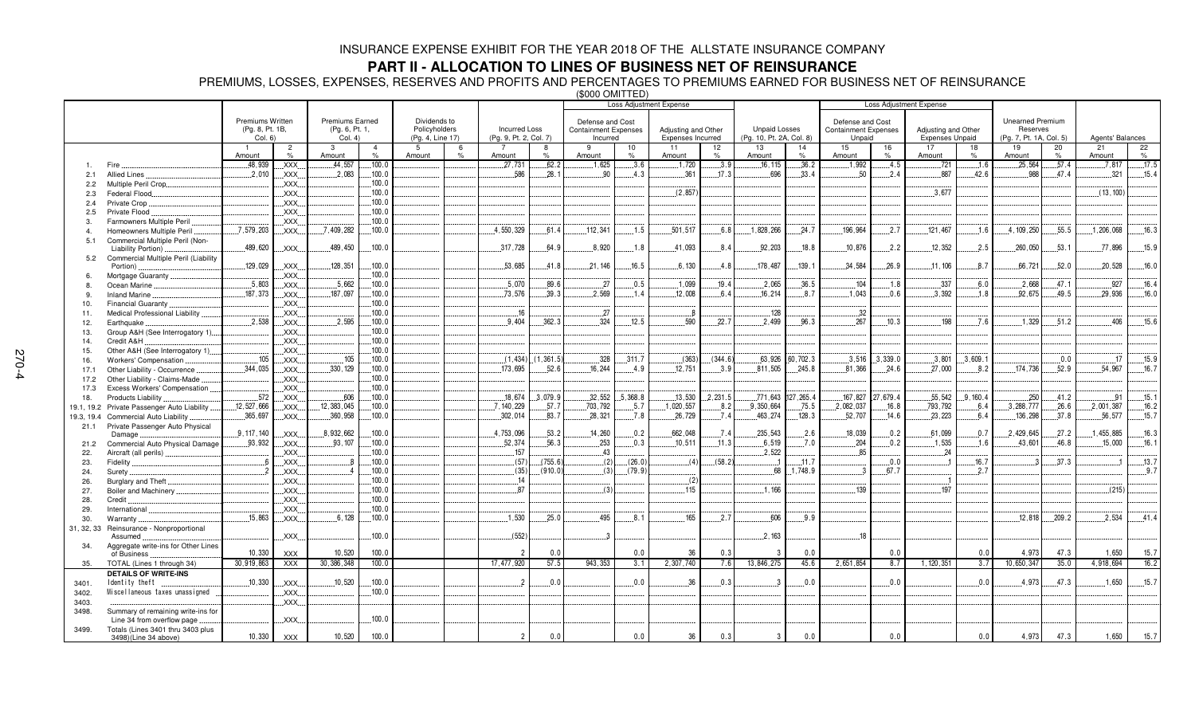## **PART II - ALLOCATION TO LINES OF BUSINESS NET OF REINSURANCE**

PREMIUMS, LOSSES, EXPENSES, RESERVES AND PROFITS AND PERCENTAGES TO PREMIUMS EARNED FOR BUSINESS NET OF REINSURANCE (\$000 OMITTED)

|                      |                                                                  |                            |                               |                           |                  |                                   |      |                                                |                         | <b>Loss Adjustment Expense</b>          |          | Loss Adjustment Expense                  |         |                                                  |                     |                                       |           |                                               |                  |                                     |       |                  |       |
|----------------------|------------------------------------------------------------------|----------------------------|-------------------------------|---------------------------|------------------|-----------------------------------|------|------------------------------------------------|-------------------------|-----------------------------------------|----------|------------------------------------------|---------|--------------------------------------------------|---------------------|---------------------------------------|-----------|-----------------------------------------------|------------------|-------------------------------------|-------|------------------|-------|
|                      |                                                                  |                            |                               |                           |                  |                                   |      |                                                |                         |                                         |          |                                          |         |                                                  |                     |                                       |           |                                               |                  |                                     |       |                  |       |
|                      |                                                                  | <b>Premiums Written</b>    |                               | <b>Premiums Earned</b>    |                  | Dividends to                      |      |                                                |                         | Defense and Cost                        |          |                                          |         |                                                  |                     | Defense and Cost                      |           |                                               |                  | <b>Unearned Premium</b>             |       |                  |       |
|                      |                                                                  | (Pg. 8, Pt. 1B,<br>Col. 6) |                               | (Pg. 6, Pt. 1,<br>Col. 4) |                  | Policyholders<br>(Pg. 4, Line 17) |      | <b>Incurred Loss</b><br>(Pg. 9, Pt. 2, Col. 7) |                         | <b>Containment Expenses</b><br>Incurred |          | Adjusting and Other<br>Expenses Incurred |         | <b>Unpaid Losses</b><br>(Pg. 10, Pt. 2A, Col. 8) |                     | <b>Containment Expenses</b><br>Unpaid |           | Adjusting and Other<br><b>Expenses Unpaid</b> |                  | Reserves<br>(Pg. 7, Pt. 1A, Col. 5) |       | Agents' Balances |       |
|                      |                                                                  |                            | $\overline{2}$                | $\mathbf{3}$              | $\overline{4}$   | 5                                 | 6    |                                                | 8                       | 9                                       | 10       | 11                                       | 12      | 13                                               | 14                  | 15                                    | 16        | 17                                            | 18               | 19                                  | 20    | 21               | 22    |
|                      |                                                                  | Amount                     | $\%$                          | Amount                    | $\%$             | Amount                            | $\%$ | Amount                                         | %                       | Amount                                  | $\%$     | Amount                                   | %       | Amount                                           | $\%$                | Amount                                | %         | Amount                                        | %                | Amount                              | $\%$  | Amount           | $\%$  |
|                      |                                                                  | $-48,939$                  | XXX.                          | .44,557                   | .100.0           |                                   |      | .27,731                                        | 62.2                    | .1,625                                  | .3.6     | .1,720                                   | .3.9    | .16, 115                                         | .36.2               | .1,992                                | .4.5      | .721                                          | .1.6             | .25,564                             | .57.4 | .7,817           | .17.5 |
| 2.1                  | Allied Lines                                                     | .2,010                     | XXX.                          | 2.083                     | .100.0           |                                   |      | 586                                            | .28.1                   | .90                                     | 4.3      | .361                                     | .17.3   | 696                                              | .33.4               | 50                                    | .2.4      | 887                                           | 42.6             | 988                                 | 47.4  | 321              | 15.4  |
| 2.2                  | Multiple Peril Crop                                              |                            | XXX.                          |                           | .100.0           |                                   |      |                                                |                         |                                         |          |                                          |         |                                                  |                     |                                       |           |                                               |                  |                                     |       |                  |       |
| 2.3                  | Federal Flood                                                    |                            | <b>XXX</b>                    |                           | 100.0            |                                   |      |                                                |                         |                                         |          | (2.857)                                  |         |                                                  |                     |                                       |           | 3.677                                         |                  |                                     |       | (13, 100)        |       |
| 2.4                  | Private Crop                                                     |                            | <b>XXX</b>                    |                           | 100.0            |                                   |      |                                                |                         |                                         |          |                                          |         |                                                  |                     |                                       |           |                                               |                  |                                     |       |                  |       |
| 2.5                  | Private Flood                                                    |                            | XXX.                          |                           | .100.0<br>.100.0 |                                   |      |                                                |                         |                                         |          |                                          |         |                                                  |                     |                                       |           |                                               |                  |                                     |       |                  |       |
| 3.<br>$\overline{4}$ | Farmowners Multiple Peril                                        | .7,579,203                 | XXX.<br>.XXX.                 | .7,409,282                | .100.0           |                                   |      | 4,550,329                                      | 61.4                    | 112,341                                 | .1.5     | .501,517                                 | 6.8     | 1,828,266                                        | .24.7               | 196,964                               | .2.7      | .121,467                                      | 1.6              | .4, 109, 250                        | .55.5 | 1,206,068        | .16.3 |
| 5.1                  | Homeowners Multiple Peril<br>Commercial Multiple Peril (Non-     |                            |                               |                           |                  |                                   |      |                                                |                         |                                         |          |                                          |         |                                                  |                     |                                       |           |                                               |                  |                                     |       |                  |       |
|                      | Liability Portion)                                               | 489,620                    | XXX.                          | 489,450                   | .100.0           |                                   |      | 317,728                                        | 64.9                    | .8,920                                  | 1.8      | 41,093                                   | 8.4     | 92,203                                           | 18.8                | 10,876                                | 2.2       | 12,352                                        | .2.5             | .260,050                            | 53.1  | .77,896          | 15.9  |
| 5.2                  | Commercial Multiple Peril (Liability                             |                            |                               |                           |                  |                                   |      |                                                |                         |                                         |          |                                          |         |                                                  |                     |                                       |           |                                               |                  |                                     |       |                  |       |
|                      | Portion)                                                         | 129,029                    | .XXX.                         | 128,351                   | .100.0           |                                   |      | .53,685                                        | 41.8                    | .21,146                                 | 16.5     | .6, 130                                  | .4.8    | 178,487                                          | .139.1              | .34,584                               | .26.9     | .11,106                                       | .8.7             | 66,721                              | .52.0 | 20,528           | .16.0 |
| 6.                   | Mortgage Guaranty                                                |                            | XXX.                          |                           | 100.0            |                                   |      |                                                |                         |                                         |          |                                          |         |                                                  |                     |                                       |           |                                               |                  |                                     |       |                  |       |
| 8.                   | Ocean Marine                                                     | .5,803                     | XXX                           | .5,662                    | .100.0           |                                   |      | .5,070                                         | 89.6                    | .27                                     | .0.5     | .1,099                                   | 19.4    | .2,065                                           | .36.5               | 104                                   | .1.8      | .337                                          | .6.0             | .2,668                              | 47.1  | .927             | 16.4  |
| 9                    | <b>Inland Marine</b>                                             | 187,373                    | $\mathsf{XXX}$                | .187.097                  | .100.0           |                                   |      | .73,576                                        | .39.3                   | 2,569                                   | .1.4     | .12,008                                  | 6.4     | .16,214                                          | .8.7                | .1,043                                | .0.6      | 3,392                                         | .1.8             | .92,675                             | 49.5  | .29,936          | .16.0 |
| 10.                  | Financial Guaranty                                               |                            | XXX.                          |                           | .100.0           |                                   |      |                                                |                         |                                         |          |                                          |         |                                                  |                     |                                       |           |                                               |                  |                                     |       |                  |       |
| 11.                  | Medical Professional Liability                                   |                            | XXX.                          |                           | .100.0           |                                   |      | .16                                            |                         | 27                                      |          |                                          |         | .128                                             |                     | .32                                   |           |                                               |                  |                                     |       |                  |       |
| 12.                  | Earthquake                                                       | .2.538                     | .XXX.                         | .2.595                    | .100.0           |                                   |      | .9.404                                         | .362.3                  | .324                                    | .12.5    | .590                                     | 22.7    | .2.499                                           | .96.3               | .267                                  | .10.3     | 198                                           | .7.6             | .1,329                              | .51.2 | .406             | .15.6 |
| 13.                  | Group A&H (See Interrogatory 1)                                  |                            | XXX                           |                           | .100.0           |                                   |      |                                                |                         |                                         |          |                                          |         |                                                  |                     |                                       |           |                                               |                  |                                     |       |                  |       |
| 14.                  | Credit A&H                                                       |                            | XXX.                          |                           | 100.0            |                                   |      |                                                |                         |                                         |          |                                          |         |                                                  |                     |                                       |           |                                               |                  |                                     |       |                  |       |
| 15.                  | Other A&H (See Interrogatory 1)                                  |                            | XXX                           |                           | 100.0            |                                   |      |                                                |                         |                                         |          |                                          |         |                                                  |                     |                                       |           |                                               |                  |                                     |       |                  |       |
| 16.                  | Workers' Compensation                                            | .105                       | XXX.                          | .105                      | .100.0           |                                   |      |                                                | $(1, 434)$ $(1, 361.5)$ | .328                                    | .311.7   | (363)                                    | (344.6) | .63,926                                          | 60,702.3            | .3.516                                | .3,339.0  | .3,801                                        | .3,609.          |                                     | 0.0   | 17               | .15.9 |
| 17.1                 | Other Liability - Occurrence                                     | 344,035                    | XXX                           | 330, 129                  | 100.0            |                                   |      | 173,695                                        | 52.6                    | 16,244                                  | 4.9      | 12,751                                   | 3.9     | 811,505                                          | 245.8               | 81,366                                | 24.6      | .27,000                                       | 8.2              | 174,736                             | 52.9  | 54,967           | 16.7  |
| 17.2                 | Other Liability - Claims-Made                                    |                            | XXX.                          |                           | .100.0           |                                   |      |                                                |                         |                                         |          |                                          |         |                                                  |                     |                                       |           |                                               |                  |                                     |       |                  |       |
| 17.3                 | Excess Workers' Compensation                                     |                            | XXX.                          |                           | .100.0           |                                   |      |                                                |                         |                                         |          |                                          |         |                                                  |                     |                                       |           |                                               |                  |                                     |       |                  |       |
| 18.                  | Products Liability                                               | .572                       | XXX.                          | .606                      | .100.0           |                                   |      | .18,674                                        | .3.079.9                | .32,552                                 | .5.368.8 | .13,530                                  | 2,231.5 |                                                  | .771,643 .127,265.4 | .167,827                              | .27,679.4 | .55,542                                       | .9, 160.4        | .250                                | 41.2  | .91              | .15.1 |
| 19.1, 19.2           | Private Passenger Auto Liability                                 | .12,527,666                | XXX.                          | 12, 383, 045              | .100.0           |                                   |      | .7, 140, 229                                   | .57.7                   | .703,792                                | .5.7     | .1,020,557                               | .8.2    | .9.350.664                                       | .75.5               | .2,082,037                            | .16.8     | .793,792                                      | 6.4              | 3,288,777                           | .26.6 | .2,001,387       | .16.2 |
| 19.3, 19.4           | Commercial Auto Liability                                        | .365,697                   | XXX.                          | .360.958                  | .100.0           |                                   |      | .302,014                                       | 83.7                    | .28,321                                 | .7.8     | 26,729                                   | 7.4     | 463,274                                          | 128.3               | 52,707                                | .14.6     | .23.223                                       | 6.4              | 136,298                             | .37.8 | 56,577           | .15.7 |
| 21.1                 | Private Passenger Auto Physical<br>Damage                        | .9.117.140                 | XXX.                          | 8,932,662                 | .100.0           |                                   |      | 4,753,096                                      | .53.2                   | .14,260                                 | 0.2      | .662.048                                 | .7.4    | 235.543                                          | .2.6                | 18,039                                | .0.2      | .61.099                                       | .0.7             | 2,429,645                           | .27.2 | .455,885         | .16.3 |
| 21.2                 | Commercial Auto Physical Damage                                  | .93,932                    | .XXX.                         | .93,107                   | .100.0           |                                   |      | .52,374                                        | .56.3                   | .253                                    | .0.3     | .10.511                                  | .11.3   | .6.519                                           | $\dots 7.0$         | .204                                  | .0.2      | .1.535                                        | .1.6             | .43,601                             | .46.8 | .15,000          | .16.1 |
| 22.                  | Aircraft (all perils)                                            |                            | XXX.                          |                           | 100.0            |                                   |      | 157                                            |                         | .43                                     |          |                                          |         | 2.522                                            |                     | 85                                    |           | 24                                            |                  |                                     |       |                  |       |
| 23.                  | Fidelity                                                         | - 6                        | XXX.                          | -8                        | 100.0            |                                   |      | (57)                                           | (755.6)                 | (2)                                     | (26.0)   | (4)                                      | (58.2)  |                                                  | .11.7               |                                       | .0.0      |                                               | .16.7            |                                     | 37.3  |                  | .13.7 |
| 24.                  | Surety.                                                          | $\overline{2}$             | XXX.                          | 4                         | 100.0            |                                   |      | (35)                                           | (910.0)                 | (3)                                     | (79.9)   |                                          |         | .68                                              | 1.748.9             | -3                                    | 67.7      |                                               | .2.7             |                                     |       |                  | .9.7  |
| 26.                  | Burglary and Theft                                               |                            | XXX                           |                           | 100.0            |                                   |      | 14                                             |                         |                                         |          | (2)                                      |         |                                                  |                     |                                       |           |                                               |                  |                                     |       |                  |       |
| 27.                  | Boiler and Machinery                                             |                            | $\mathsf{XXX}$                |                           | .100.0           |                                   |      | 87                                             |                         | (3)                                     |          | 115                                      |         | .1,166                                           |                     | 139                                   |           | 197                                           |                  |                                     |       | (215)            |       |
| 28.                  | Credit                                                           |                            | XXX.                          |                           | .100.0           |                                   |      |                                                |                         |                                         |          |                                          |         |                                                  |                     |                                       |           |                                               |                  |                                     |       |                  |       |
| 29.                  | International                                                    |                            | XXX.                          |                           | .100.0           |                                   |      |                                                |                         |                                         |          |                                          |         |                                                  |                     |                                       |           |                                               |                  |                                     |       |                  |       |
| 30.                  | Warranty                                                         | .15.863                    | XXX.                          | 6.128                     | .100.0           |                                   |      | .1.530                                         | 25.0                    | .495                                    | .8.1     | 165                                      | .2.7    | .606                                             | 9.9                 |                                       |           |                                               |                  | .12, 818                            | 209.2 | .2.534           | .41.4 |
| 31, 32, 33           | Reinsurance - Nonproportional                                    |                            |                               |                           |                  |                                   |      |                                                |                         |                                         |          |                                          |         |                                                  |                     |                                       |           |                                               |                  |                                     |       |                  |       |
|                      | Assumed                                                          |                            | XXX                           |                           | .100.0           |                                   |      | (552)                                          |                         |                                         |          |                                          |         | .2,163                                           |                     | 18                                    |           |                                               |                  |                                     |       |                  |       |
| 34.                  | Aggregate write-ins for Other Lines                              |                            |                               |                           |                  |                                   |      |                                                |                         |                                         |          |                                          |         |                                                  |                     |                                       |           |                                               |                  |                                     |       |                  |       |
|                      | of Business                                                      | 10,330                     | <b>XXX</b>                    | 10.520                    | 100.0            |                                   |      | $\overline{2}$                                 | 0.0                     |                                         | 0.0      | 36                                       | 0.3     | -3                                               | 0.0                 |                                       | 0.0       |                                               | 0.0              | 4,973                               | 47.3  | 1.650            | 15.7  |
| 35.                  | TOTAL (Lines 1 through 34)                                       | 30,919,863                 | <b>XXX</b>                    | 30, 386, 348              | 100.0            |                                   |      | 17,477,920                                     | 57.5                    | 943, 353                                | 3.1      | 2,307,740                                | 7.6     | 13,846,275                                       | 45.6                | 2,651,854                             | 8.7       | 1, 120, 351                                   | $\overline{3.7}$ | 10,650,347                          | 35.0  | 4,918,694        | 16.2  |
|                      | <b>DETAILS OF WRITE-INS</b>                                      |                            |                               |                           |                  |                                   |      |                                                |                         |                                         |          |                                          |         |                                                  |                     |                                       |           |                                               |                  |                                     |       |                  |       |
| 3401.                | Identity theft                                                   | 10.330                     | XXX.                          | 10.520                    | .100.0           |                                   |      |                                                | 0.0                     |                                         | 0.0      | 36                                       | 0.3     | -3                                               | 0.0                 |                                       | .0.0      |                                               | .0.0             | 4.973                               | 47.3  | .1,650           | .15.7 |
| 3402.                | Miscellaneous taxes unassigned                                   |                            | $\overline{\phantom{a}}$ XXX. |                           | .100.0           |                                   |      |                                                |                         |                                         |          |                                          |         |                                                  |                     |                                       |           |                                               |                  |                                     |       |                  |       |
| 3403.                |                                                                  |                            | <b>XXX</b>                    |                           |                  |                                   |      |                                                |                         |                                         |          |                                          |         |                                                  |                     |                                       |           |                                               |                  |                                     |       |                  |       |
| 3498.                | Summary of remaining write-ins for<br>Line 34 from overflow page |                            | XXX.                          |                           | .100.0           |                                   |      |                                                |                         |                                         |          |                                          |         |                                                  |                     |                                       |           |                                               |                  |                                     |       |                  |       |
| 3499.                | Totals (Lines 3401 thru 3403 plus                                |                            |                               |                           |                  |                                   |      |                                                |                         |                                         |          |                                          |         |                                                  |                     |                                       |           |                                               |                  |                                     |       |                  |       |
|                      | 3498)(Line 34 above)                                             | 10,330                     | <b>XXX</b>                    | 10,520                    | 100.0            |                                   |      | $\overline{2}$                                 | 0.0                     |                                         | 0.0      | 36                                       | 0.3     | $\mathbf{3}$                                     | 0.0                 |                                       | 0.0       |                                               | 0.0              | 4,973                               | 47.3  | 1.650            | 15.7  |
|                      |                                                                  |                            |                               |                           |                  |                                   |      |                                                |                         |                                         |          |                                          |         |                                                  |                     |                                       |           |                                               |                  |                                     |       |                  |       |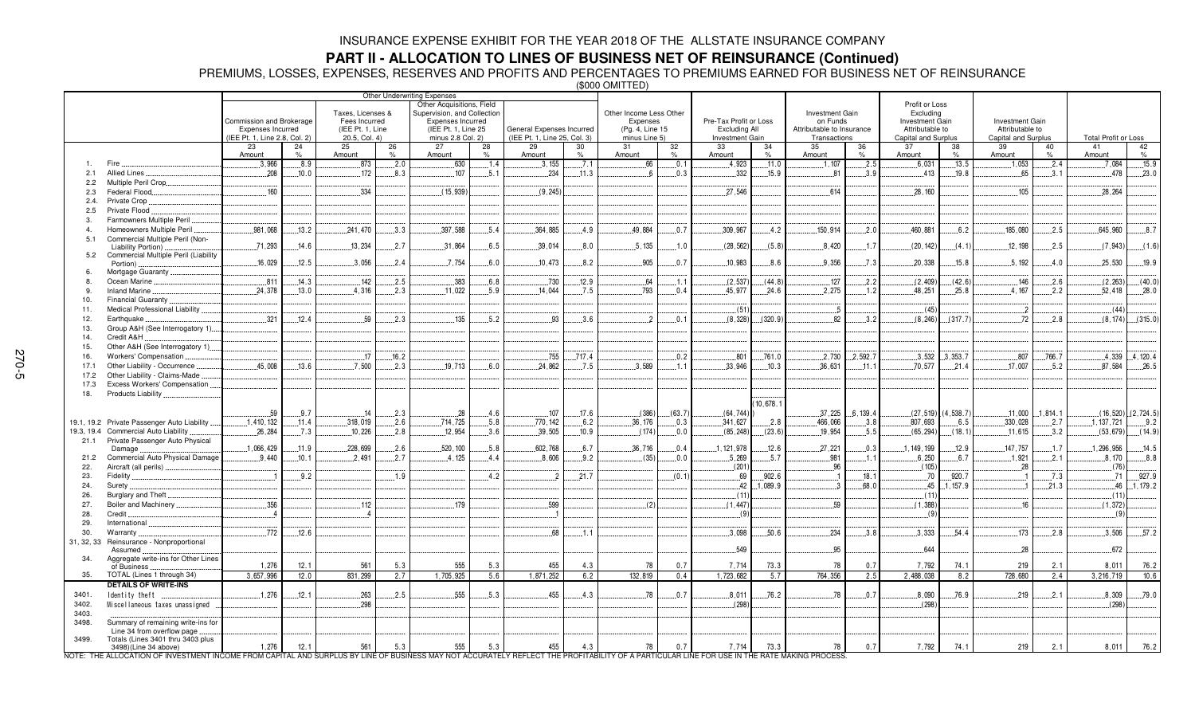**PART II - ALLOCATION TO LINES OF BUSINESS NET OF REINSURANCE (Continued)<br>PREMIUMS, LOSSES, EXPENSES, RESERVES AND PROFITS AND PERCENTAGES TO PREMIUMS EARNED FOR BUSINESS NET OF REINSURANCE<br>(\$000 OMITTED)** 

|                |                                                           | Other Underwriting Expenses<br>Other Acquisitions, Field<br>Taxes, Licenses &<br>Supervision, and Collection<br>Commission and Brokerage<br>Fees Incurred<br><b>Expenses Incurred</b><br>(IEE Pt. 1, Line 25<br>Expenses Incurred<br>(IEE Pt. 1, Line<br>(IEE Pt. 1, Line 2.8, Col. 2)<br>20.5, Col. 4)<br>minus 2.8 Col. 2) |         |              | General Expenses Incurred<br>(IEE Pt. 1. Line 25, Col. 3) |              | Other Income Less Other<br>Expenses<br>(Pg. 4, Line 15<br>minus Line 5) |               | Pre-Tax Profit or Loss<br><b>Excluding All</b><br>Investment Gain |               | Investment Gain<br>on Funds<br>Attributable to Insurance<br>Transactions |              | Profit or Loss<br>Excluding<br><b>Investment Gain</b><br>Attributable to<br>Capital and Surplus |              | <b>Investment Gain</b><br>Attributable to<br>Capital and Surplus |              | <b>Total Profit or Loss</b> |              |         |                |                          |
|----------------|-----------------------------------------------------------|------------------------------------------------------------------------------------------------------------------------------------------------------------------------------------------------------------------------------------------------------------------------------------------------------------------------------|---------|--------------|-----------------------------------------------------------|--------------|-------------------------------------------------------------------------|---------------|-------------------------------------------------------------------|---------------|--------------------------------------------------------------------------|--------------|-------------------------------------------------------------------------------------------------|--------------|------------------------------------------------------------------|--------------|-----------------------------|--------------|---------|----------------|--------------------------|
|                |                                                           | 23<br>Amount                                                                                                                                                                                                                                                                                                                 | 24<br>% | 25<br>Amount | 26<br>%                                                   | 27<br>Amount | 28<br>$\%$                                                              | 29<br>Amount  | 30<br>$\%$                                                        | 31<br>Amount  | 32<br>$\%$                                                               | 33<br>Amount | 34<br>%                                                                                         | 35<br>Amount | 36<br>$O_{\Lambda}$                                              | 37<br>Amount | 38<br>$\%$                  | 39<br>Amount | 40<br>% | 41<br>Amount   | 42<br>$\%$               |
|                | Fire                                                      | .3,966                                                                                                                                                                                                                                                                                                                       | .8.9    | .873         | .2.0                                                      | .630         | .1.4                                                                    | .3,155        | .7.1                                                              | .66           | .0.1                                                                     | 4,923        | .11.0                                                                                           | .1,107       | .2.5                                                             | .6,031       | .13.5                       | 1,053        | .2.4    | .7,084         | .15.9                    |
| 2.1            | Allied Lines                                              | .208                                                                                                                                                                                                                                                                                                                         | .10.0   | .172         | .8.3                                                      | 107          | 5.1                                                                     | .234          | .11.3                                                             | - 6           | .0.3                                                                     | .332         | .15.9                                                                                           | 81           | .3.9                                                             | 413          | 19.8                        | .65          | 3.1     | .478           | .23.0                    |
| 2.2            | Multiple Peril Crop                                       |                                                                                                                                                                                                                                                                                                                              |         |              |                                                           |              |                                                                         |               |                                                                   |               |                                                                          |              |                                                                                                 |              |                                                                  |              |                             |              |         |                |                          |
| 2.3            | Federal Flood                                             | .160                                                                                                                                                                                                                                                                                                                         |         | .334         |                                                           | (15.939)     |                                                                         | (9.245)       |                                                                   |               |                                                                          | 27.546       |                                                                                                 | $-614$       |                                                                  | .28.160      |                             | .105         |         | 28.264         |                          |
| 2.4.           | Private Crop.                                             |                                                                                                                                                                                                                                                                                                                              |         |              |                                                           |              |                                                                         |               |                                                                   |               |                                                                          |              |                                                                                                 |              |                                                                  |              |                             |              |         |                |                          |
| 2.5            | Private Flood                                             |                                                                                                                                                                                                                                                                                                                              |         |              |                                                           |              |                                                                         |               |                                                                   |               |                                                                          |              |                                                                                                 |              |                                                                  |              |                             |              |         |                |                          |
| -3.            | Farmowners Multiple Peril                                 |                                                                                                                                                                                                                                                                                                                              |         |              |                                                           |              |                                                                         |               |                                                                   |               |                                                                          |              |                                                                                                 |              |                                                                  |              |                             |              |         |                |                          |
| $\overline{4}$ | Homeowners Multiple Peril                                 | .981.068                                                                                                                                                                                                                                                                                                                     | .13.2   | 241.470      | 3.3                                                       | .397.588     | .5.4                                                                    | .364.885      | 4.9                                                               | 49.884        | .0.7                                                                     | .309.967     | .4.2                                                                                            | 150.914      | .2.0                                                             | 460.881      | 6.2                         | 185.080      | .2.5    | 645.960        | .8.7                     |
| 5.1            | Commercial Multiple Peril (Non-                           |                                                                                                                                                                                                                                                                                                                              |         |              |                                                           |              |                                                                         |               |                                                                   |               |                                                                          |              |                                                                                                 |              |                                                                  |              |                             |              |         |                |                          |
|                | Liability Portion)                                        | .71,293                                                                                                                                                                                                                                                                                                                      | .14.6   | .13,234      | .2.7                                                      | .31,864      | .6.5                                                                    | .39,014       | .8.0                                                              | .5.135        | .1.0                                                                     | (28, 562)    | (5.8)                                                                                           | .8,420       | .1.7                                                             | (20, 142)    | (4.1)                       | .12,198      | .2.5    | (7, 943)       | (1.6)                    |
| 5.2            | Commercial Multiple Peril (Liability                      |                                                                                                                                                                                                                                                                                                                              |         |              |                                                           |              |                                                                         |               |                                                                   |               |                                                                          |              |                                                                                                 |              |                                                                  |              |                             |              |         |                |                          |
| 6.             | Portion).<br>Mortgage Guaranty                            | .16,029                                                                                                                                                                                                                                                                                                                      | .12.5   | .3,056       | .2.4                                                      | .7,754       | .6.0                                                                    | .10,473       | .8.2                                                              | .905          | .0.7                                                                     | .10,983      | .8.6                                                                                            | .9,356       | .7.3                                                             | .20,338      | .15.8                       | .5,192       | .4.0    | 25,530         | .19.9                    |
| $\mathsf{R}$   | Ocean Marine                                              | .811                                                                                                                                                                                                                                                                                                                         | .14.3   | .142         | .2.5                                                      | .383         | 6.8                                                                     | .730          | .12.9                                                             | 64            | .1.1                                                                     | (2.537)      | (44.8)                                                                                          | .127         | .2.2                                                             | (2, 409)     | (42.6)                      | .146         | .2.6    | (2, 263)       | (40.0)                   |
| 9.             | Inland Marine.                                            | .24.378                                                                                                                                                                                                                                                                                                                      | .13.0   | .4.316       | .2.3                                                      | .11,022      | .5.9                                                                    | .14.044       | .7.5                                                              | .793          | .0.4                                                                     | .45,977      | .24.6                                                                                           | 2,275        | .1.2                                                             | 48,251       | .25.8                       | .4.167       | .2.2    | 52,418         | .28.0                    |
| 10.            | <b>Financial Guaranty</b>                                 |                                                                                                                                                                                                                                                                                                                              |         |              |                                                           |              |                                                                         |               |                                                                   |               |                                                                          |              |                                                                                                 |              |                                                                  |              |                             |              |         |                |                          |
| 11.            | Medical Professional Liability.                           |                                                                                                                                                                                                                                                                                                                              |         |              |                                                           |              |                                                                         |               |                                                                   |               |                                                                          | (51)         |                                                                                                 | 5            |                                                                  | (45)         |                             | $\cdot$ .2   |         | (44)           |                          |
| 12.            | Earthquake                                                | 321                                                                                                                                                                                                                                                                                                                          | 12.4    | 59           | 2.3                                                       | 135          | 5.2                                                                     | 93            | .3.6                                                              | $\mathcal{P}$ | 0.1                                                                      | (8.328)      | (320.9)                                                                                         | 82           | 3.2                                                              | (8.246)      | (317.7)                     | 72           | 2.8     |                | $(8, 174)$ (315.0)       |
| 13.            | Group A&H (See Interrogatory 1)                           |                                                                                                                                                                                                                                                                                                                              |         |              |                                                           |              |                                                                         |               |                                                                   |               |                                                                          |              |                                                                                                 |              |                                                                  |              |                             |              |         |                |                          |
| 14.            | Credit A&H                                                |                                                                                                                                                                                                                                                                                                                              |         |              |                                                           |              |                                                                         |               |                                                                   |               |                                                                          |              |                                                                                                 |              |                                                                  |              |                             |              |         |                |                          |
| 15.            | Other A&H (See Interrogatory 1)                           |                                                                                                                                                                                                                                                                                                                              |         |              |                                                           |              |                                                                         |               |                                                                   |               |                                                                          |              |                                                                                                 |              |                                                                  |              |                             |              |         |                |                          |
| 16.            | Workers' Compensation                                     |                                                                                                                                                                                                                                                                                                                              |         | .17          | .16.2                                                     |              |                                                                         | .755          | .717.4                                                            |               | .0.2                                                                     | .801         | .761.0                                                                                          | .2,730       | 2,592.7                                                          | .3,532       | .3.353.7                    | .807         | .766.7  |                | $.4,339$ $.4,120.4$      |
| 17.1           | Other Liability - Occurrence                              | 45.008                                                                                                                                                                                                                                                                                                                       | .13.6   | .7.500       | .2.3                                                      | 19.713       | 6.0                                                                     | .24.862       | .7.5                                                              | 3.589         | .1.1                                                                     | .33,946      | .10.3                                                                                           | .36,631      | .11.1                                                            | .70.577      | .21.4                       | .17,007      | .5.2    | 87.584         | 26.5                     |
| 17.2           | Other Liability - Claims-Made                             |                                                                                                                                                                                                                                                                                                                              |         |              |                                                           |              |                                                                         |               |                                                                   |               |                                                                          |              |                                                                                                 |              |                                                                  |              |                             |              |         |                |                          |
| 17.3           | Excess Workers' Compensation                              |                                                                                                                                                                                                                                                                                                                              |         |              |                                                           |              |                                                                         |               |                                                                   |               |                                                                          |              |                                                                                                 |              |                                                                  |              |                             |              |         |                |                          |
| 18.            | Products Liability.                                       |                                                                                                                                                                                                                                                                                                                              |         |              |                                                           |              |                                                                         |               |                                                                   |               |                                                                          |              |                                                                                                 |              |                                                                  |              |                             |              |         |                |                          |
|                |                                                           |                                                                                                                                                                                                                                                                                                                              |         |              |                                                           |              |                                                                         |               |                                                                   |               |                                                                          |              | 10.678.1                                                                                        |              |                                                                  |              |                             |              |         |                |                          |
|                |                                                           | .59                                                                                                                                                                                                                                                                                                                          | .9.7    | .14          | .2.3                                                      | .28          | .4.6                                                                    | .107          | .17.6                                                             | (386)         | (63.7)                                                                   | (64, 744)    |                                                                                                 | .37,225      | 6, 139.4                                                         |              | $(27, 519)$ $(4, 538.7)$    | .11,000      | 1,814.1 |                | $(16, 520)$ $(2, 724.5)$ |
| 19.1, 19.2     | Private Passenger Auto Liability                          | .1,410,132                                                                                                                                                                                                                                                                                                                   | .11.4   | .318,019     | .2.6                                                      | 714,725      | .5.8                                                                    | .770, 142     | .6.2                                                              | 36, 176       | .0.3                                                                     | .341,627     | .2.8                                                                                            | .466,066     | .3.8                                                             | .807,693     | .6.5                        | .330,028     | .2.7    | .1, 137, 721   | .9.2                     |
| 19.3, 19.4     | Commercial Auto Liability                                 | .26.284                                                                                                                                                                                                                                                                                                                      | .7.3    | .10,226      | .2.8                                                      | .12.954      | .3.6                                                                    | .39.505       | .10.9                                                             | (174)         | 0.0                                                                      | (85, 248)    | (23.6)                                                                                          | .19,954      | .5.5                                                             | (65, 294)    | (18.1)                      | .11.615      | 3.2     | (53, 679)      | (14.9)                   |
|                | 21.1 Private Passenger Auto Physical                      |                                                                                                                                                                                                                                                                                                                              |         |              |                                                           |              |                                                                         |               |                                                                   |               |                                                                          |              |                                                                                                 |              |                                                                  |              |                             |              |         |                |                          |
|                | Damage                                                    | .1,066,429                                                                                                                                                                                                                                                                                                                   | .11.9   | 228,699      | .2.6                                                      | 520, 100     | .5.8                                                                    | .602,768      | 6.7                                                               | 36.716        | .0.4                                                                     | 1, 121, 978  | .12.6                                                                                           | .27,221      | 0.3                                                              | 1, 149, 199  | 12.9                        | 147,757      | .1.7    | .1,296,956     | .14.5                    |
| 21.2           | Commercial Auto Physical Damage                           | .9.440                                                                                                                                                                                                                                                                                                                       | .10.1   | .2.491       | .2.7                                                      | .4.125       | 4.4                                                                     | .8,606        | .9.2                                                              | (35)          | 0.0                                                                      | .5.269       | .5.7                                                                                            | .981<br>96   | .1.1                                                             | .6,250       | 6.7                         | .1.921<br>28 | .2.1    | .8,170<br>(76) | .8.8                     |
| 22.<br>23.     | Aircraft (all perils).<br>Fidelity                        |                                                                                                                                                                                                                                                                                                                              | 9.2     |              | .1.9                                                      |              | 4.2                                                                     | $\mathcal{L}$ | .21.7                                                             |               | (0.1)                                                                    | (201)<br>69  | .902.6                                                                                          |              | 18.1                                                             | (105)<br>.70 | .920.7                      |              | 7.3     | 71             | .927.9                   |
| 24.            | Surety                                                    |                                                                                                                                                                                                                                                                                                                              |         |              |                                                           |              |                                                                         |               |                                                                   |               |                                                                          | 42           | ,089.9                                                                                          |              | 68.0                                                             | .45          | 1.157.9                     |              | .21.3   |                | 46 1,179.2               |
| 26.            | <b>Burglary and Theft</b>                                 |                                                                                                                                                                                                                                                                                                                              |         |              |                                                           |              |                                                                         |               |                                                                   |               |                                                                          | (11)         |                                                                                                 |              |                                                                  | (11)         |                             |              |         | (11)           |                          |
| 27.            | Boiler and Machinery                                      | .356                                                                                                                                                                                                                                                                                                                         |         | .112         |                                                           | .179         |                                                                         | .599          |                                                                   | (2)           |                                                                          | (1.447)      |                                                                                                 | 59           |                                                                  | (1, 388)     |                             | 16           |         | (1, 372)       |                          |
| 28.            | Credit                                                    |                                                                                                                                                                                                                                                                                                                              |         |              |                                                           |              |                                                                         |               |                                                                   |               |                                                                          | (9)          |                                                                                                 |              |                                                                  | (9)          |                             |              |         | (9)            |                          |
| 29.            | International                                             |                                                                                                                                                                                                                                                                                                                              |         |              |                                                           |              |                                                                         |               |                                                                   |               |                                                                          |              |                                                                                                 |              |                                                                  |              |                             |              |         |                |                          |
| 30.            | Warranty                                                  | .772                                                                                                                                                                                                                                                                                                                         | .12.6   |              |                                                           |              |                                                                         | .68           | $-1.1$                                                            |               |                                                                          | .3.098       | .50.6                                                                                           | .234         | .3.8                                                             | .3,333       | 54.4                        | .173         | 2.8     | .3,506         | .57.2                    |
| 31, 32, 33     | Reinsurance - Nonproportional                             |                                                                                                                                                                                                                                                                                                                              |         |              |                                                           |              |                                                                         |               |                                                                   |               |                                                                          |              |                                                                                                 |              |                                                                  |              |                             |              |         |                |                          |
|                | Assumed                                                   |                                                                                                                                                                                                                                                                                                                              |         |              |                                                           |              |                                                                         |               |                                                                   |               |                                                                          | 549          |                                                                                                 | 95           |                                                                  | 644          |                             | .28          |         | 672            |                          |
| 34.            | Aggregate write-ins for Other Lines                       | 1,276                                                                                                                                                                                                                                                                                                                        | 12.1    | 561          | 5.3                                                       | 555          | 5.3                                                                     | 455           |                                                                   | 78            | 0.7                                                                      | 7,714        | 73.3                                                                                            | 78           | 0.7                                                              | 7,792        | 74.1                        | 219          | 2.1     | 8,011          | 76.2                     |
|                | of Business                                               |                                                                                                                                                                                                                                                                                                                              |         |              |                                                           | 1,705,925    |                                                                         |               | 4.3                                                               |               |                                                                          |              |                                                                                                 |              |                                                                  |              |                             |              |         |                |                          |
| 35.            | TOTAL (Lines 1 through 34)<br><b>DETAILS OF WRITE-INS</b> | 3,657,996                                                                                                                                                                                                                                                                                                                    | 12.0    | 831,299      | 2.7                                                       |              | 5.6                                                                     | 1,871,252     | 6.2                                                               | 132,819       | 0.4                                                                      | 1,723,682    | 5.7                                                                                             | 764,356      | 2.5                                                              | 2,488,038    | 8.2                         | 728,680      | 2.4     | 3,216,719      | 10.6                     |
| 3401.          | Identity theft.                                           | .1,276                                                                                                                                                                                                                                                                                                                       | .12.1   | .263         | .2.5                                                      | .555         | .5.3                                                                    | .455          | .4.3                                                              | .78           | .0.7                                                                     | .8,011       | .76.2                                                                                           | 78           | 0.7                                                              | .8,090       | .76.9                       | .219         | .2.1    | .8,309         | 79.0                     |
| 3402.          | Miscellaneous taxes unassigned                            |                                                                                                                                                                                                                                                                                                                              |         | .298         |                                                           |              |                                                                         |               |                                                                   |               |                                                                          | (298)        |                                                                                                 |              |                                                                  | (298)        |                             |              |         | (298)          |                          |
| 3403.          |                                                           |                                                                                                                                                                                                                                                                                                                              |         |              |                                                           |              |                                                                         |               |                                                                   |               |                                                                          |              |                                                                                                 |              |                                                                  |              |                             |              |         |                |                          |
| 3498.          | Summary of remaining write-ins for                        |                                                                                                                                                                                                                                                                                                                              |         |              |                                                           |              |                                                                         |               |                                                                   |               |                                                                          |              |                                                                                                 |              |                                                                  |              |                             |              |         |                |                          |
|                | Line 34 from overflow page                                |                                                                                                                                                                                                                                                                                                                              |         |              |                                                           |              |                                                                         |               |                                                                   |               |                                                                          |              |                                                                                                 |              |                                                                  |              |                             |              |         |                |                          |
| 3499.          | Totals (Lines 3401 thru 3403 plus                         |                                                                                                                                                                                                                                                                                                                              |         |              |                                                           |              |                                                                         |               |                                                                   |               |                                                                          |              |                                                                                                 |              |                                                                  |              |                             |              |         |                |                          |
|                | 3498)(Line 34 above)                                      | 1,276                                                                                                                                                                                                                                                                                                                        | 12.1    | 561          | 5.3                                                       | 555          | 5.3                                                                     | 455           | 4.3                                                               | 78            | 0.7                                                                      | 7,714        | 73.3                                                                                            | 78           | 0.7                                                              | 7,792        | 74.1                        | 219          | 2.1     | 8,011          | 76.2                     |

NOTE: THE ALLOCATION OF INVESTMENT INCOME FROM CAPITAL AND SURPLUS BY LINE OF BUSINESS MAY NOT ACCURATELY REFLECT THE PROFITABILITY OF A PARTICULAR LINE FOR USE IN THE RATE MAKING PROCESS.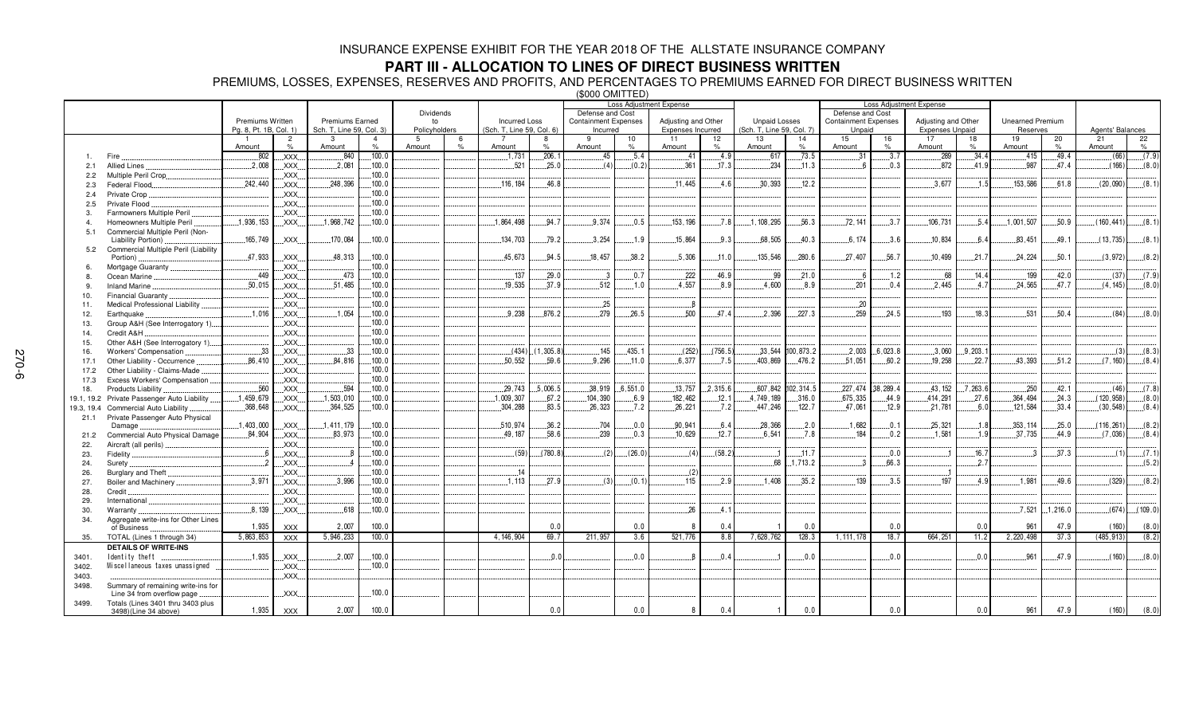## **PART III - ALLOCATION TO LINES OF DIRECT BUSINESS WRITTEN**

PREMIUMS, LOSSES, EXPENSES, RESERVES AND PROFITS, AND PERCENTAGES TO PREMIUMS EARNED FOR DIRECT BUSINESS WRITTEN (\$000 OMITTED)

|            |                                      |                        |                     |                               |                        |                    |               |                           |           |                             |         | Loss Adjustment Expense |          |                                 |            | <b>Loss Adjustment Expense</b> |          |                              |          |                         |            |                  |         |
|------------|--------------------------------------|------------------------|---------------------|-------------------------------|------------------------|--------------------|---------------|---------------------------|-----------|-----------------------------|---------|-------------------------|----------|---------------------------------|------------|--------------------------------|----------|------------------------------|----------|-------------------------|------------|------------------|---------|
|            |                                      |                        |                     | Dividends                     |                        |                    |               | Defense and Cost          |           |                             |         |                         |          | Defense and Cost                |            |                                |          |                              |          |                         |            |                  |         |
|            |                                      | Premiums Written       |                     | <b>Premiums Earned</b>        |                        | to                 |               | <b>Incurred Loss</b>      |           | <b>Containment Expenses</b> |         | Adjusting and Other     |          | <b>Unpaid Losses</b>            |            | <b>Containment Expenses</b>    |          | Adjusting and Other          |          | <b>Unearned Premium</b> |            | Agents' Balances |         |
|            |                                      | Pg. 8, Pt. 1B, Col. 1) |                     | Sch. T, Line 59, Col. 3)<br>3 |                        | Policyholders<br>5 |               | (Sch. T, Line 59, Col. 6) |           | Incurred<br>9               |         | Expenses Incurred       |          | (Sch. T, Line 59, Col. 7)<br>13 |            | Unpaid<br>15                   |          | <b>Expenses Unpaid</b><br>17 |          | Reserves                |            | 21               |         |
|            |                                      | Amount                 | $\overline{2}$<br>% | Amount                        | $\overline{4}$<br>$\%$ | Amount             | $\frac{1}{2}$ | Amount                    | $\%$      | Amount                      | 10<br>% | 11<br>Amount            | 12<br>%  | Amount                          | 14<br>$\%$ | Amount                         | 16<br>%  | Amount                       | 18<br>%  | 19<br>Amount            | 20<br>$\%$ | Amount           | 22<br>% |
|            | Fire                                 | 802                    | XXX.                | .840                          | .100.0                 |                    |               | .1,731                    | .206.1    | .45                         | .5.4    | .41                     | .4.9     | .617                            | .73.5      | 31                             | 3.7      | 289                          | .34.4    | .415                    | .49.4      | (66)             | (7.9)   |
| 2.1        | <b>Allied Lines</b>                  | .2,008                 | XXX.                | .2,081                        | .100.0                 |                    |               | .521                      | .25.0     | (4)                         | (0.2)   | .361                    | .17.3    | .234                            | .11.3      |                                | .0.3     | .872                         | 41.9     | .987                    | .47.4      | (166)            | (8.0)   |
| 2.2        | Multiple Peril Crop.                 |                        | XXX.                |                               | .100.0                 |                    |               |                           |           |                             |         |                         |          |                                 |            |                                |          |                              |          |                         |            |                  |         |
| 2.3        | Federal Flood                        | 242.440                | XXX.                | 248.396                       | .100.0                 |                    |               | 116.184                   | 46.8      |                             |         | 11.445                  | 4.6      | 30.393                          | 12.2       |                                |          | .3.677                       | .1.5     | 153.586                 | 61.8       | (20,090)         | (8.1)   |
| 2.4        | Private Crop                         |                        | XXX.                |                               | .100.0                 |                    |               |                           |           |                             |         |                         |          |                                 |            |                                |          |                              |          |                         |            |                  |         |
| 2.5        | Private Flood                        |                        | XXX                 |                               | 100.0                  |                    |               |                           |           |                             |         |                         |          |                                 |            |                                |          |                              |          |                         |            |                  |         |
| 3.         | Farmowners Multiple Peril            |                        | XXX.                |                               | 100.0                  |                    |               |                           |           |                             |         |                         |          |                                 |            |                                |          |                              |          |                         |            |                  |         |
| $\Delta$   | Homeowners Multiple Peril            | 1.936.153              | XXX.                | .1,968,742                    | .100.0                 |                    |               | 1.864.498                 | .94.7     | 9.374                       | 0.5     | 153.196                 | .7.8     | 1.108.295                       | .56.3      | 72.141                         | 3.7      | .106.731                     | .5.4     | .1.001.507              | .50.9      | (160.441)        | (8.1)   |
| 5.1        | Commercial Multiple Peril (Non-      |                        |                     |                               |                        |                    |               |                           |           |                             |         |                         |          |                                 |            |                                |          |                              |          |                         |            |                  |         |
|            | Liability Portion)                   | 165,749                | XXX.                | 170,084                       | 100.0                  |                    |               | 134,703                   | 79.2      | .3.254                      | .1.9    | 15.864                  | 9.3      | 68.505                          | 40.3       | 6.174                          | 3.6      | .10,834                      | 6.4      | .83,451                 | 49.1       | (13, 735)        | (8.1)   |
| 5.2        | Commercial Multiple Peril (Liability |                        |                     |                               |                        |                    |               |                           |           |                             |         |                         |          |                                 |            |                                |          |                              |          |                         |            |                  |         |
|            | Portion)                             | .47,933                | XXX.                | 48,313                        | .100.0                 |                    |               | 45.673                    | .94.5     | 18.457                      | .38.2   | .5,306                  | .11.0    | 135.546                         | .280.6     | .27.407                        | .56.7    | .10.499                      | 21.7     | .24.224                 | .50.1      | (3,972)          | (8.2)   |
| 6.         | Mortgage Guaranty                    |                        | XXX.                |                               | .100.0                 |                    |               |                           |           |                             |         |                         |          |                                 |            |                                |          |                              |          |                         |            |                  |         |
| 8          | Ocean Marine                         | 449                    | XXX.                | 473                           | 100.0                  |                    |               | .137                      | 29.0      | . 3                         | 0.7     | .222                    | 46.9     | .99                             | 21.0       | 6                              | 1.2      | 68                           | .14.4    | 199                     | 42.0       | (37)             | (7.9)   |
| 9.         | <b>Inland Marine</b>                 | .50,015                | XXX.                | .51,485                       | .100.0                 |                    |               | .19.535                   | 37.9      | .512                        | 1.0     | .4.557                  | 8.9      | .4,600                          | .8.9       | .201                           | 0.4      | 2.445                        | 4.7      | 24.565                  | 47.7       | (4, 145)         | (8.0)   |
| 10.        | <b>Financial Guaranty</b>            |                        | XXX.                |                               | 100.0                  |                    |               |                           |           |                             |         |                         |          |                                 |            |                                |          |                              |          |                         |            |                  |         |
| 11.        | Medical Professional Liability.      |                        | XXX.                |                               | .100.0                 |                    |               |                           |           | .25                         |         | 8                       |          |                                 |            | .20                            |          |                              |          |                         |            |                  |         |
| 12.        | Earthquake                           | .1.016                 | XXX.                | .1.054                        | .100.0                 |                    |               | .9.238                    | .876.2    | .279                        | .26.5   | .500                    | 47.4     | 2.396                           | 227.3      | .259                           | .24.5    | .193                         | 18.3     | .531                    | 50.4       | (84)             | (8.0)   |
| 13.        | Group A&H (See Interrogatory 1)      |                        | XXX.                |                               | .100.0                 |                    |               |                           |           |                             |         |                         |          |                                 |            |                                |          |                              |          |                         |            |                  |         |
| 14.        | Credit A&H                           |                        | XXX.                |                               | .100.0                 |                    |               |                           |           |                             |         |                         |          |                                 |            |                                |          |                              |          |                         |            |                  |         |
| 15.        | Other A&H (See Interrogatory 1)      |                        | XXX.                |                               | .100.0                 |                    |               |                           |           |                             |         |                         |          |                                 |            |                                |          |                              |          |                         |            |                  |         |
| 16.        | Workers' Compensation                | .33                    | <b>XXX</b>          | .33                           | .100.0                 |                    |               | (434)                     | (1.305.8) | 145                         | 435.1   | (252)                   | (756.5)  | 33.544                          | 100.873.2  | 2.003                          | 6.023.8  | .3,060                       | .9,203.  |                         |            | (3)              | (8.3)   |
| 17.1       | Other Liability - Occurrence         | 86,410                 | XXX.                | .84, 816                      | .100.0                 |                    |               | .50,552                   | 59.6      | .9.296                      | .11.0   | .6,377                  | .7.5     | .403,869                        | .476.2     | .51,051                        | .60.2    | .19.258                      | .22.7    | .43,393                 | .51.2      | (7, 160)         | (8.4)   |
| 17.2       | Other Liability - Claims-Made        |                        | XXX.                |                               | 100.0                  |                    |               |                           |           |                             |         |                         |          |                                 |            |                                |          |                              |          |                         |            |                  |         |
| 17.3       | Excess Workers' Compensation         |                        | XXX                 |                               | .100.0                 |                    |               |                           |           |                             |         |                         |          |                                 |            |                                |          |                              |          |                         |            |                  |         |
| 18.        | Products Liability                   | .560                   | XXX.                | .594                          | .100.0                 |                    |               | .29.743                   | .5,006.5  | 38.919                      | 6.551.0 | .13.757                 | .2.315.6 | .607.842                        | 102, 314.5 | 227.474                        | 38.289.4 | 43.152                       | .7,263.6 | .250                    | 42.1       | (46)             | (7.8)   |
| 19.1, 19.2 | Private Passenger Auto Liability     | 1,459,679              | XXX.                | .1,503,010                    | .100.0                 |                    |               | .1,009,307                | .67.2     | .104,390                    | .6.9    | 182,462                 | .12.1    | 4,749,189                       | .316.0     | .675,335                       | .44.9    | .414,291                     | .27.6    | .364, 494               | .24.3      | (120, 958)       | (8.0)   |
| 19.3, 19.4 | <b>Commercial Auto Liability</b>     | .368,648               | XXX.                | .364,525                      | .100.0                 |                    |               | .304,288                  | .83.5     | 26,323                      | .7.2    | 26,221                  | .7.2     | .447.246                        | .122.7     | .47,061                        | .12.9    | .21,781                      | .6.0     | 121,584                 | .33.4      | (30, 548)        | (8.4)   |
| 21.1       | Private Passenger Auto Physical      |                        |                     |                               |                        |                    |               |                           |           |                             |         |                         |          |                                 |            |                                |          |                              |          |                         |            |                  |         |
|            | Damage                               | .1,403,000             | XXX.                | .1,411,179                    | .100.0                 |                    |               | .510,974                  | 36.2      | .704                        | 0.0     | .90,941                 | 6.4      | 28.366                          | .2.0       | .1.682                         | .0.1     | .25.321                      | .1.8     | 353, 114                | 25.0       | (116, 261)       | (8.2)   |
| 21.2       | Commercial Auto Physical Damage.     | .84,904                | XXX.                | .83,973                       | .100.0                 |                    |               | 49, 187                   | .58.6     | .239                        | .0.3    | .10,629                 | .12.7    | .6,541                          | .7.8       | 184                            | .0.2     | .1.581                       | .1.9     | .37,735                 | .44.9      | (7,036)          | (8.4)   |
| 22.        | Aircraft (all perils)                |                        | XXX.                |                               | .100.0                 |                    |               |                           |           |                             |         |                         |          |                                 |            |                                |          |                              |          |                         |            |                  |         |
| 23.        | Fidelity                             | - 6                    | <b>XXX</b>          |                               | .100.0                 |                    |               | (59)                      | (780.8)   | (2)                         | (26.0)  | (4)                     | (58.2)   |                                 | .11.7      |                                | $0.0$ .  |                              | .16.7    |                         | .37.3      | (1)              | (7.1)   |
| 24.        | Surety                               | $\mathcal{P}$          | <b>XXX</b>          |                               | .100.0                 |                    |               |                           |           |                             |         |                         |          | 68                              | 1,713.2    | -3                             | 66.3     |                              | .2.7     |                         |            |                  | (5.2)   |
| 26.        | Burglary and Theft                   |                        | XXX.                |                               | 100.0                  |                    |               | 14                        |           |                             |         | (2)                     |          |                                 |            |                                |          |                              |          |                         |            |                  |         |
| 27.        | Boiler and Machinery                 | .3.971                 | XXX.                | 3.996                         | .100.0                 |                    |               | .1.113                    | 27.9      | (3)                         | (0.1)   | .115                    | 2.9      | 1.408                           | 35.2       | 139                            | 3.5      | 197                          | 4.9      | 1.981                   | 49.6       | (329)            | (8.2)   |
| 28.        | Credit                               |                        | XXX                 |                               | 100.0                  |                    |               |                           |           |                             |         |                         |          |                                 |            |                                |          |                              |          |                         |            |                  |         |
| 29.        | International                        |                        | XXX                 |                               | .100.0                 |                    |               |                           |           |                             |         |                         |          |                                 |            |                                |          |                              |          |                         |            |                  |         |
| 30.        | Warranty                             | .8.139                 | XXX.                | 618                           | .100.0                 |                    |               |                           |           |                             |         | 26                      | 4.1      |                                 |            |                                |          |                              |          | .7.521                  | 1.216.0    | (674)            | (109.0) |
| 34.        | Aggregate write-ins for Other Lines  |                        |                     |                               |                        |                    |               |                           |           |                             |         |                         |          |                                 |            |                                |          |                              |          |                         |            |                  |         |
|            | of Business                          | 1,935                  | <b>XXX</b>          | 2,007                         | 100.0                  |                    |               |                           | 0.0       |                             | 0.0     |                         | 0.4      |                                 | 0.0        |                                | 0.0      |                              | 0.0      | 961                     | 47.9       | (160)            | (8.0)   |
| 35.        | TOTAL (Lines 1 through 34)           | 5,863,853              | <b>XXX</b>          | 5,946,233                     | 100.0                  |                    |               | 4.146.904                 | 69.7      | 211,957                     | 3.6     | 521,776                 | 8.8      | 7,628,762                       | 128.3      | 1.111.178                      | 18.7     | 664,251                      | 11.2     | 2,220,498               | 37.3       | (485, 913)       | (8.2)   |
|            | <b>DETAILS OF WRITE-INS</b>          |                        |                     |                               |                        |                    |               |                           |           |                             |         |                         |          |                                 |            |                                |          |                              |          |                         |            |                  |         |
| 3401.      | Identity theft                       | .1.935                 | XXX.                | 2,007                         | .100.0                 |                    |               |                           | 0.0       |                             | 0.0     |                         | 0.4      |                                 | 0.0        |                                | 0.0      |                              | 0.0      | 961                     | 47.9       | (160)            | (8.0)   |
| 3402.      | Miscellaneous taxes unassigned       |                        | XXX.                |                               | 100.0                  |                    |               |                           |           |                             |         |                         |          |                                 |            |                                |          |                              |          |                         |            |                  |         |
| 3403.      |                                      |                        | XXX.                |                               |                        |                    |               |                           |           |                             |         |                         |          |                                 |            |                                |          |                              |          |                         |            |                  |         |
| 3498.      | Summary of remaining write-ins for   |                        |                     |                               |                        |                    |               |                           |           |                             |         |                         |          |                                 |            |                                |          |                              |          |                         |            |                  |         |
|            | Line 34 from overflow page           |                        | XXX.                |                               | .100.0                 |                    |               |                           |           |                             |         |                         |          |                                 |            |                                |          |                              |          |                         |            |                  |         |
| 3499.      | Totals (Lines 3401 thru 3403 plus    | 1,935                  | <b>XXX</b>          | 2,007                         | 100.0                  |                    |               |                           | 0.0       |                             | 0.0     |                         | 0.4      |                                 | 0.0        |                                | 0.0      |                              | 0.0      | 961                     | 47.9       | (160)            | (8.0)   |
|            | 3498)(Line 34 above)                 |                        |                     |                               |                        |                    |               |                           |           |                             |         |                         |          |                                 |            |                                |          |                              |          |                         |            |                  |         |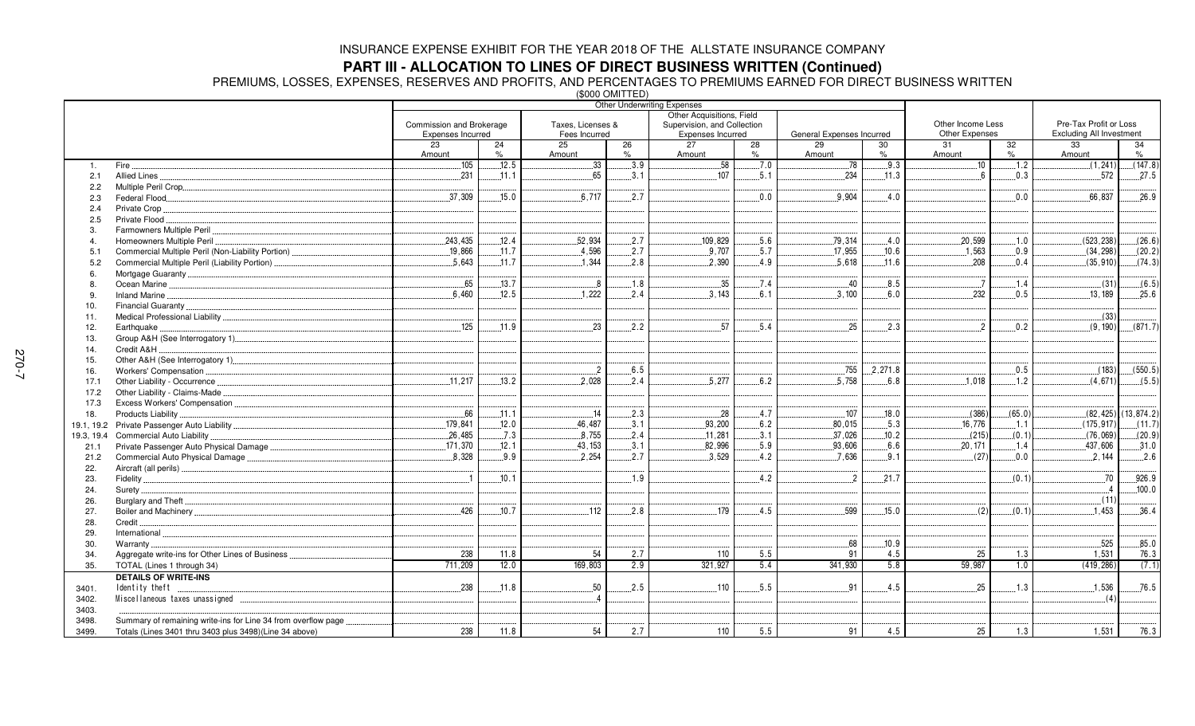**PART III - ALLOCATION TO LINES OF DIRECT BUSINESS WRITTEN (Continued)<br>PREMIUMS, LOSSES, EXPENSES, RESERVES AND PROFITS, AND PERCENTAGES TO PREMIUMS EARNED FOR DIRECT BUSINESS WRITTEN<br>(\$000 OMITTED)** 

|                |                                                                | <b>Other Underwriting Expenses</b>            |            |                 |         |                             |         |                           |                   |                |                        |                                 |                        |
|----------------|----------------------------------------------------------------|-----------------------------------------------|------------|-----------------|---------|-----------------------------|---------|---------------------------|-------------------|----------------|------------------------|---------------------------------|------------------------|
|                |                                                                | Other Acquisitions, Field                     |            |                 |         |                             |         |                           |                   |                |                        |                                 |                        |
|                |                                                                | Taxes, Licenses &<br>Commission and Brokerage |            |                 |         | Supervision, and Collection |         |                           | Other Income Less |                | Pre-Tax Profit or Loss |                                 |                        |
|                |                                                                | Expenses Incurred                             |            | Fees Incurred   |         | Expenses Incurred           |         | General Expenses Incurred |                   | Other Expenses |                        | <b>Excluding All Investment</b> |                        |
|                |                                                                | 23<br>Amount                                  | 24<br>$\%$ | 25<br>Amount    | 26<br>% | 27<br>Amount                | 28<br>% | 29<br>Amount              | 30<br>$\%$        | 31<br>Amount   | 32<br>$\%$             | 33<br>Amount                    | 34<br>$\%$             |
| $\mathbf{1}$ . | Fire.                                                          | .105                                          | .12.5      | 33 <sup>3</sup> | .3.9    | 58                          | .7.0    | .78                       | 9.3               | .10            | .1.2                   | (1, 241)                        | (147.8)                |
| 2.1            | Allied Lines                                                   | 231                                           | .11.1      | .65             | .3.1    | .107                        | 5.1     | .234                      | .11.3             | 6              | 0.3                    | 572                             | .27.5                  |
| 2.2            |                                                                |                                               |            |                 |         |                             |         |                           |                   |                |                        |                                 |                        |
| 2.3            |                                                                | .37,309                                       | .15.0      | .6,717          | .2.7    |                             | 0.0     | .9,904                    | .4.0              |                | $0.0$ .                | .66,837                         | .26.9                  |
| 2.4            | Private Crop                                                   |                                               |            |                 |         |                             |         |                           |                   |                |                        |                                 |                        |
| 2.5            | Private Flood                                                  |                                               |            |                 |         |                             |         |                           |                   |                |                        |                                 |                        |
| 3.             |                                                                |                                               |            |                 |         |                             |         |                           |                   |                |                        |                                 |                        |
| 4              | Homeowners Multiple Peril                                      | 243,435                                       | 12.4       | 52,934          | 2.7     | 109,829                     | 5.6     | 79,314                    | 4.0               | 20.599         | 1.0                    | (523, 238)                      | (26.6)                 |
| 5.1            |                                                                | .19,866                                       | .11.7      | .4,596          | .2.7    | .9,707                      | .5.7    | .17,955                   | .10.6             | .1,563         | 0.9                    | (34, 298)                       | (20.2)                 |
| 5.2            | Commercial Multiple Peril (Liability Portion)                  | 5.643                                         | .11.7      | 1.344           | 2.8     | 2.390                       | 4.9     | 5.618                     | .11.6             | .208           | 0.4                    | (35, 910)                       | (74.3)                 |
| 6              |                                                                |                                               |            |                 |         |                             |         |                           |                   |                |                        |                                 |                        |
| 8.             |                                                                | .65                                           | .13.7      | $\mathbf{8}$    | .1.8    | .35                         | .7.4    | .40                       | .8.5              | $\overline{a}$ | .1.4                   | (31)                            | (6.5)                  |
| -9             | Inland Marine                                                  | 6.460                                         | .12.5      | 1.222           | 2.4     | 3.143                       | 6.1     | .3.100                    | 6.0               | 232            | 0.5                    | .13.189                         | .25.6                  |
| 10.            |                                                                |                                               |            |                 |         |                             |         |                           |                   |                |                        |                                 |                        |
| 11.            |                                                                |                                               |            |                 |         |                             |         |                           |                   |                |                        | (33)                            |                        |
| 12.            | Earthquake                                                     | .125                                          | .11.9      | .23             | 2.2     | .57                         | .5.4    | 25                        | .2.3              | $\overline{2}$ | 0.2                    | (9, 190)                        | (871.7)                |
| 13.            |                                                                |                                               |            |                 |         |                             |         |                           |                   |                |                        |                                 |                        |
| 14.            | Credit A&H                                                     |                                               |            |                 |         |                             |         |                           |                   |                |                        |                                 |                        |
| 15.            | Other A&H (See Interrogatory 1)                                |                                               |            |                 |         |                             |         |                           |                   |                |                        |                                 |                        |
| 16.            | Workers' Compensation                                          |                                               |            | $\overline{2}$  | 6.5     |                             |         | .755                      | 2.271.8           |                | 0.5                    | (183)                           | (550.5)                |
| 17.1           | Other Liability - Occurrence                                   | 11,217                                        | .13.2      | .2.028          | 2.4     | .5,277                      | 6.2     | .5,758                    | 6.8               | .1.018         | .1.2                   | (4.671)                         | (5.5)                  |
| 17.2           | Other Liability - Claims-Made                                  |                                               |            |                 |         |                             |         |                           |                   |                |                        |                                 |                        |
| 17.3           |                                                                |                                               |            |                 |         |                             |         |                           |                   |                |                        |                                 |                        |
| 18.            | Products Liability                                             | .66                                           | .11.1      | .14             | .2.3    | 28                          | .4.7    | .107                      | .18.0             | (386)          | (65.0)                 |                                 | $(82, 425)$ (13,874.2) |
|                |                                                                | .179.841                                      | .12.0      | 46.487          | .3.1    | .93,200                     | 6.2     | 80.015                    | .5.3              | .16.776        | .1.1                   | (175.917)                       | (11.7)                 |
| 19.3, 19.4     | Commercial Auto Liability                                      | .26,485                                       | .7.3       | 8,755           | .2.4    | .11,281                     | .3.1    | .37,026                   | 10.2              | (215)          | (0.1)                  | (76,069)                        | (20.9)                 |
| 21.1           |                                                                | .171.370                                      | .12.1      | .43, 153        | .3.1    | 82,996                      | 5.9     | 93,606                    | 6.6               | .20.171        | .1.4                   | .437,606                        | .31.0                  |
| 21.2           |                                                                | .8,328                                        | .9.9       | .2,254          | .2.7    | 3,529                       | .4.2    | .7,636                    | .9.1              | (27)           | 0.0                    | 2,144                           | .2.6                   |
| 22.            |                                                                |                                               |            |                 |         |                             |         |                           |                   |                |                        |                                 |                        |
| 23.            |                                                                | $\overline{1}$                                | 10.1       |                 | 1.9     |                             | 4.2     | $\overline{2}$            | .21.7             |                | (0.1)                  | .70                             | .926.9                 |
| 24.            |                                                                |                                               |            |                 |         |                             |         |                           |                   |                |                        | $-4$                            | .100.0                 |
| 26.            |                                                                |                                               |            |                 |         |                             |         |                           |                   |                |                        | (11)                            |                        |
| 27.            |                                                                | 426                                           | 10.7       | 112             | 2.8     | 179                         | .4.5    | .599                      | .15.0             | (2)            | (0.1)                  | 1,453                           | 36.4                   |
| 28.            | Credit.                                                        |                                               |            |                 |         |                             |         |                           |                   |                |                        |                                 |                        |
| 29.            | International                                                  |                                               |            |                 |         |                             |         |                           |                   |                |                        |                                 |                        |
| 30.            | Warranty.                                                      |                                               |            |                 |         |                             |         | .68                       | .10.9             |                |                        | 525                             | .85.0                  |
| 34.            | Aggregate write-ins for Other Lines of Business                | 238                                           | 11.8       | 54              | 2.7     | 110                         | 5.5     | 91                        | 4.5               | 25             | 1.3                    | 1,531                           | 76.3                   |
| 35.            | TOTAL (Lines 1 through 34)                                     | 711,209                                       | 12.0       | 169,803         | 2.9     | 321,927                     | 5.4     | 341,930                   | 5.8               | 59,987         | 1.0                    | (419, 286)                      | (7.1)                  |
|                | <b>DETAILS OF WRITE-INS</b>                                    |                                               |            |                 |         |                             |         |                           |                   |                |                        |                                 |                        |
| 3401.          | Identity theft                                                 | .238                                          | .11.8      | 50              | .2.5    | $.110$                      | .5.5    | 91                        | .4.5              | 25             | 1.3                    | .1,536                          | .76.5                  |
| 3402.          |                                                                |                                               |            |                 |         |                             |         |                           |                   |                |                        | (4)                             |                        |
| 3403.          |                                                                |                                               |            |                 |         |                             |         |                           |                   |                |                        |                                 |                        |
| 3498.          | Summary of remaining write-ins for Line 34 from overflow page. |                                               |            |                 |         |                             |         |                           |                   |                |                        |                                 |                        |
| 3499.          | Totals (Lines 3401 thru 3403 plus 3498)(Line 34 above)         | 238                                           | 11.8       | 54              | 2.7     | 110                         | 5.5     | 91                        | 4.5               | 25             | 1.3                    | 1,531                           | 76.3                   |
|                |                                                                |                                               |            |                 |         |                             |         |                           |                   |                |                        |                                 |                        |